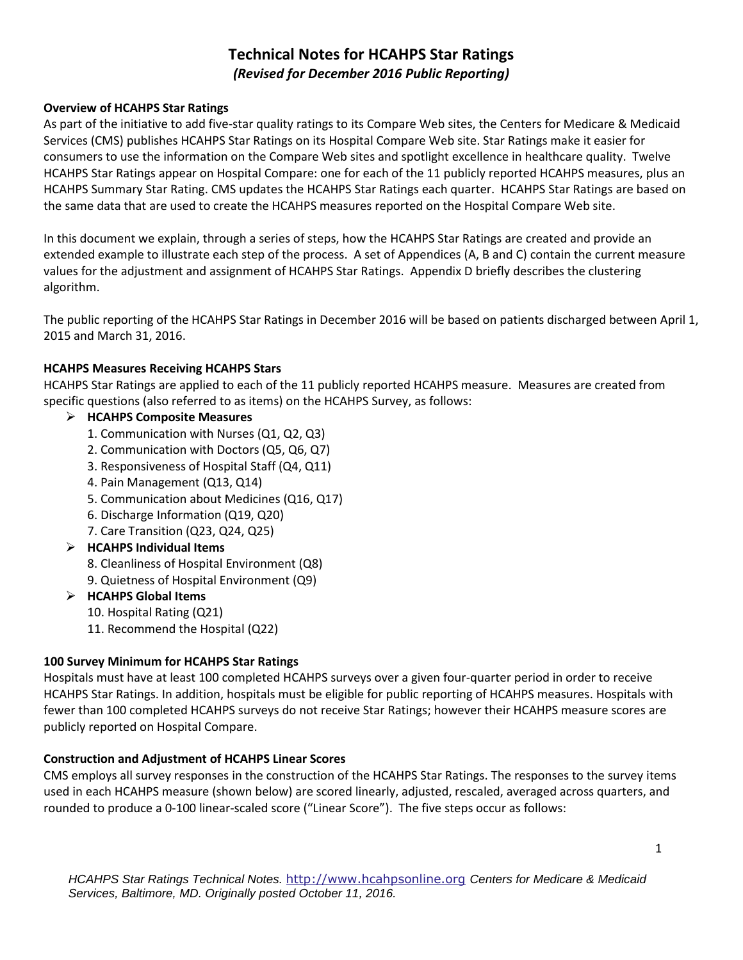# **Technical Notes for HCAHPS Star Ratings**  *(Revised for December 2016 Public Reporting)*

### **Overview of HCAHPS Star Ratings**

As part of the initiative to add five-star quality ratings to its Compare Web sites, the Centers for Medicare & Medicaid Services (CMS) publishes HCAHPS Star Ratings on its Hospital Compare Web site. Star Ratings make it easier for consumers to use the information on the Compare Web sites and spotlight excellence in healthcare quality. Twelve HCAHPS Star Ratings appear on Hospital Compare: one for each of the 11 publicly reported HCAHPS measures, plus an HCAHPS Summary Star Rating. CMS updates the HCAHPS Star Ratings each quarter. HCAHPS Star Ratings are based on the same data that are used to create the HCAHPS measures reported on the Hospital Compare Web site.

In this document we explain, through a series of steps, how the HCAHPS Star Ratings are created and provide an extended example to illustrate each step of the process. A set of Appendices (A, B and C) contain the current measure values for the adjustment and assignment of HCAHPS Star Ratings. Appendix D briefly describes the clustering algorithm.

The public reporting of the HCAHPS Star Ratings in December 2016 will be based on patients discharged between April 1, 2015 and March 31, 2016.

## **HCAHPS Measures Receiving HCAHPS Stars**

HCAHPS Star Ratings are applied to each of the 11 publicly reported HCAHPS measure. Measures are created from specific questions (also referred to as items) on the HCAHPS Survey, as follows:

## **HCAHPS Composite Measures**

- 1. Communication with Nurses (Q1, Q2, Q3)
- 2. Communication with Doctors (Q5, Q6, Q7)
- 3. Responsiveness of Hospital Staff (Q4, Q11)
- 4. Pain Management (Q13, Q14)
- 5. Communication about Medicines (Q16, Q17)
- 6. Discharge Information (Q19, Q20)
- 7. Care Transition (Q23, Q24, Q25)

## **HCAHPS Individual Items**

- 8. Cleanliness of Hospital Environment (Q8)
- 9. Quietness of Hospital Environment (Q9)

## **HCAHPS Global Items**

- 10. Hospital Rating (Q21)
- 11. Recommend the Hospital (Q22)

#### **100 Survey Minimum for HCAHPS Star Ratings**

Hospitals must have at least 100 completed HCAHPS surveys over a given four-quarter period in order to receive HCAHPS Star Ratings. In addition, hospitals must be eligible for public reporting of HCAHPS measures. Hospitals with fewer than 100 completed HCAHPS surveys do not receive Star Ratings; however their HCAHPS measure scores are publicly reported on Hospital Compare.

#### **Construction and Adjustment of HCAHPS Linear Scores**

CMS employs all survey responses in the construction of the HCAHPS Star Ratings. The responses to the survey items used in each HCAHPS measure (shown below) are scored linearly, adjusted, rescaled, averaged across quarters, and rounded to produce a 0-100 linear-scaled score ("Linear Score"). The five steps occur as follows: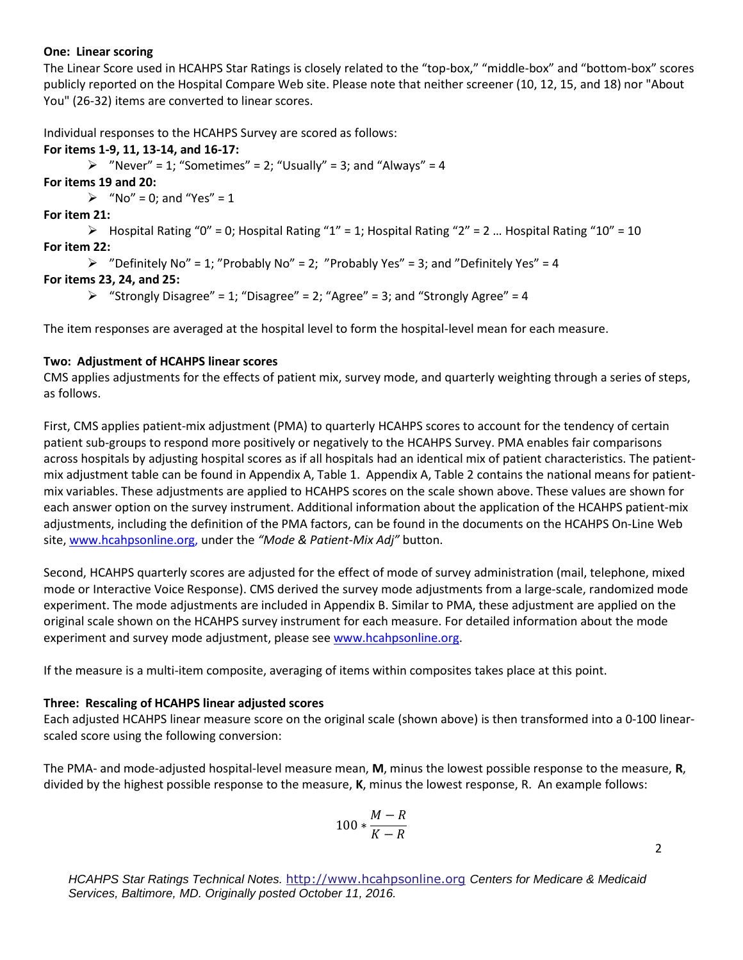#### **One: Linear scoring**

The Linear Score used in HCAHPS Star Ratings is closely related to the "top-box," "middle-box" and "bottom-box" scores publicly reported on the Hospital Compare Web site. Please note that neither screener (10, 12, 15, and 18) nor "About You" (26-32) items are converted to linear scores.

Individual responses to the HCAHPS Survey are scored as follows:

#### **For items 1-9, 11, 13-14, and 16-17:**

 $\triangleright$  "Never" = 1; "Sometimes" = 2; "Usually" = 3; and "Always" = 4

**For items 19 and 20:** 

 $\triangleright$  "No" = 0; and "Yes" = 1

**For item 21:** 

 $\triangleright$  Hospital Rating "0" = 0; Hospital Rating "1" = 1; Hospital Rating "2" = 2 ... Hospital Rating "10" = 10 **For item 22:** 

```
\triangleright "Definitely No" = 1; "Probably No" = 2; "Probably Yes" = 3; and "Definitely Yes" = 4
```
## **For items 23, 24, and 25:**

 $\triangleright$  "Strongly Disagree" = 1; "Disagree" = 2; "Agree" = 3; and "Strongly Agree" = 4

The item responses are averaged at the hospital level to form the hospital-level mean for each measure.

## **Two: Adjustment of HCAHPS linear scores**

CMS applies adjustments for the effects of patient mix, survey mode, and quarterly weighting through a series of steps, as follows.

First, CMS applies patient-mix adjustment (PMA) to quarterly HCAHPS scores to account for the tendency of certain patient sub-groups to respond more positively or negatively to the HCAHPS Survey. PMA enables fair comparisons across hospitals by adjusting hospital scores as if all hospitals had an identical mix of patient characteristics. The patientmix adjustment table can be found in Appendix A, Table 1. Appendix A, Table 2 contains the national means for patientmix variables. These adjustments are applied to HCAHPS scores on the scale shown above. These values are shown for each answer option on the survey instrument. Additional information about the application of the HCAHPS patient-mix adjustments, including the definition of the PMA factors, can be found in the documents on the HCAHPS On-Line Web site, [www.hcahpsonline.org,](http://www.hcahpsonline.org/) under the *"Mode & Patient-Mix Adj"* button.

Second, HCAHPS quarterly scores are adjusted for the effect of mode of survey administration (mail, telephone, mixed mode or Interactive Voice Response). CMS derived the survey mode adjustments from a large-scale, randomized mode experiment. The mode adjustments are included in Appendix B. Similar to PMA, these adjustment are applied on the original scale shown on the HCAHPS survey instrument for each measure. For detailed information about the mode experiment and survey mode adjustment, please see [www.hcahpsonline.org.](http://www.hcahpsonline.org/)

If the measure is a multi-item composite, averaging of items within composites takes place at this point.

#### **Three: Rescaling of HCAHPS linear adjusted scores**

Each adjusted HCAHPS linear measure score on the original scale (shown above) is then transformed into a 0-100 linearscaled score using the following conversion:

The PMA- and mode-adjusted hospital-level measure mean, **M**, minus the lowest possible response to the measure, **R**, divided by the highest possible response to the measure, **K**, minus the lowest response, R. An example follows:

$$
100*\frac{M-R}{K-R}
$$

*HCAHPS Star Ratings Technical Notes.* [http://www.hcahpsonline.org](http://www.hcahpsonline.org/) *Centers for Medicare & Medicaid Services, Baltimore, MD. Originally posted October 11, 2016.*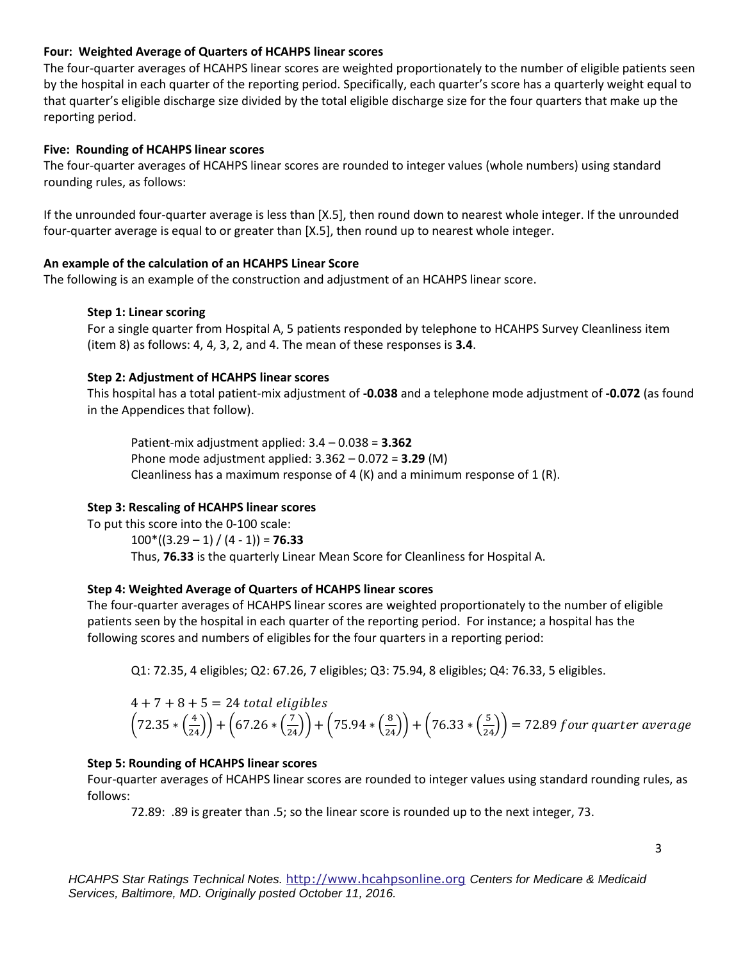### **Four: Weighted Average of Quarters of HCAHPS linear scores**

The four-quarter averages of HCAHPS linear scores are weighted proportionately to the number of eligible patients seen by the hospital in each quarter of the reporting period. Specifically, each quarter's score has a quarterly weight equal to that quarter's eligible discharge size divided by the total eligible discharge size for the four quarters that make up the reporting period.

## **Five: Rounding of HCAHPS linear scores**

The four-quarter averages of HCAHPS linear scores are rounded to integer values (whole numbers) using standard rounding rules, as follows:

If the unrounded four-quarter average is less than [X.5], then round down to nearest whole integer. If the unrounded four-quarter average is equal to or greater than [X.5], then round up to nearest whole integer.

## **An example of the calculation of an HCAHPS Linear Score**

The following is an example of the construction and adjustment of an HCAHPS linear score.

#### **Step 1: Linear scoring**

For a single quarter from Hospital A, 5 patients responded by telephone to HCAHPS Survey Cleanliness item (item 8) as follows: 4, 4, 3, 2, and 4. The mean of these responses is **3.4**.

## **Step 2: Adjustment of HCAHPS linear scores**

This hospital has a total patient-mix adjustment of **-0.038** and a telephone mode adjustment of **-0.072** (as found in the Appendices that follow).

Patient-mix adjustment applied: 3.4 – 0.038 = **3.362**  Phone mode adjustment applied: 3.362 – 0.072 = **3.29** (M) Cleanliness has a maximum response of 4  $(K)$  and a minimum response of 1  $(R)$ .

## **Step 3: Rescaling of HCAHPS linear scores**

To put this score into the 0-100 scale:  $100*(3.29 - 1) / (4 - 1) = 76.33$ Thus, **76.33** is the quarterly Linear Mean Score for Cleanliness for Hospital A.

#### **Step 4: Weighted Average of Quarters of HCAHPS linear scores**

The four-quarter averages of HCAHPS linear scores are weighted proportionately to the number of eligible patients seen by the hospital in each quarter of the reporting period. For instance; a hospital has the following scores and numbers of eligibles for the four quarters in a reporting period:

Q1: 72.35, 4 eligibles; Q2: 67.26, 7 eligibles; Q3: 75.94, 8 eligibles; Q4: 76.33, 5 eligibles.

$$
4 + 7 + 8 + 5 = 24
$$
 total eligibles  
\n $(72.35 * (\frac{4}{24})) + (67.26 * (\frac{7}{24})) + (75.94 * (\frac{8}{24})) + (76.33 * (\frac{5}{24})) = 72.89$  four quarter average

#### **Step 5: Rounding of HCAHPS linear scores**

Four-quarter averages of HCAHPS linear scores are rounded to integer values using standard rounding rules, as follows:

72.89: .89 is greater than .5; so the linear score is rounded up to the next integer, 73.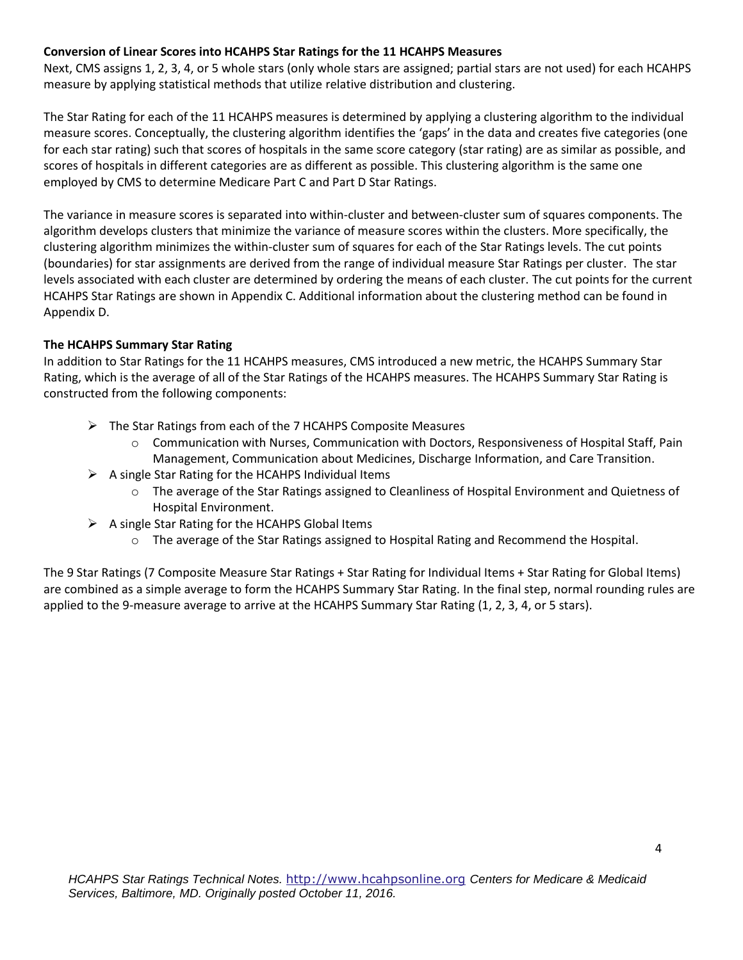### **Conversion of Linear Scores into HCAHPS Star Ratings for the 11 HCAHPS Measures**

Next, CMS assigns 1, 2, 3, 4, or 5 whole stars (only whole stars are assigned; partial stars are not used) for each HCAHPS measure by applying statistical methods that utilize relative distribution and clustering.

The Star Rating for each of the 11 HCAHPS measures is determined by applying a clustering algorithm to the individual measure scores. Conceptually, the clustering algorithm identifies the 'gaps' in the data and creates five categories (one for each star rating) such that scores of hospitals in the same score category (star rating) are as similar as possible, and scores of hospitals in different categories are as different as possible. This clustering algorithm is the same one employed by CMS to determine Medicare Part C and Part D Star Ratings.

The variance in measure scores is separated into within-cluster and between-cluster sum of squares components. The algorithm develops clusters that minimize the variance of measure scores within the clusters. More specifically, the clustering algorithm minimizes the within-cluster sum of squares for each of the Star Ratings levels. The cut points (boundaries) for star assignments are derived from the range of individual measure Star Ratings per cluster. The star levels associated with each cluster are determined by ordering the means of each cluster. The cut points for the current HCAHPS Star Ratings are shown in Appendix C. Additional information about the clustering method can be found in Appendix D.

#### **The HCAHPS Summary Star Rating**

In addition to Star Ratings for the 11 HCAHPS measures, CMS introduced a new metric, the HCAHPS Summary Star Rating, which is the average of all of the Star Ratings of the HCAHPS measures. The HCAHPS Summary Star Rating is constructed from the following components:

- $\triangleright$  The Star Ratings from each of the 7 HCAHPS Composite Measures
	- $\circ$  Communication with Nurses, Communication with Doctors, Responsiveness of Hospital Staff, Pain Management, Communication about Medicines, Discharge Information, and Care Transition.
- $\triangleright$  A single Star Rating for the HCAHPS Individual Items
	- o The average of the Star Ratings assigned to Cleanliness of Hospital Environment and Quietness of Hospital Environment.
- $\triangleright$  A single Star Rating for the HCAHPS Global Items
	- o The average of the Star Ratings assigned to Hospital Rating and Recommend the Hospital.

The 9 Star Ratings (7 Composite Measure Star Ratings + Star Rating for Individual Items + Star Rating for Global Items) are combined as a simple average to form the HCAHPS Summary Star Rating. In the final step, normal rounding rules are applied to the 9-measure average to arrive at the HCAHPS Summary Star Rating (1, 2, 3, 4, or 5 stars).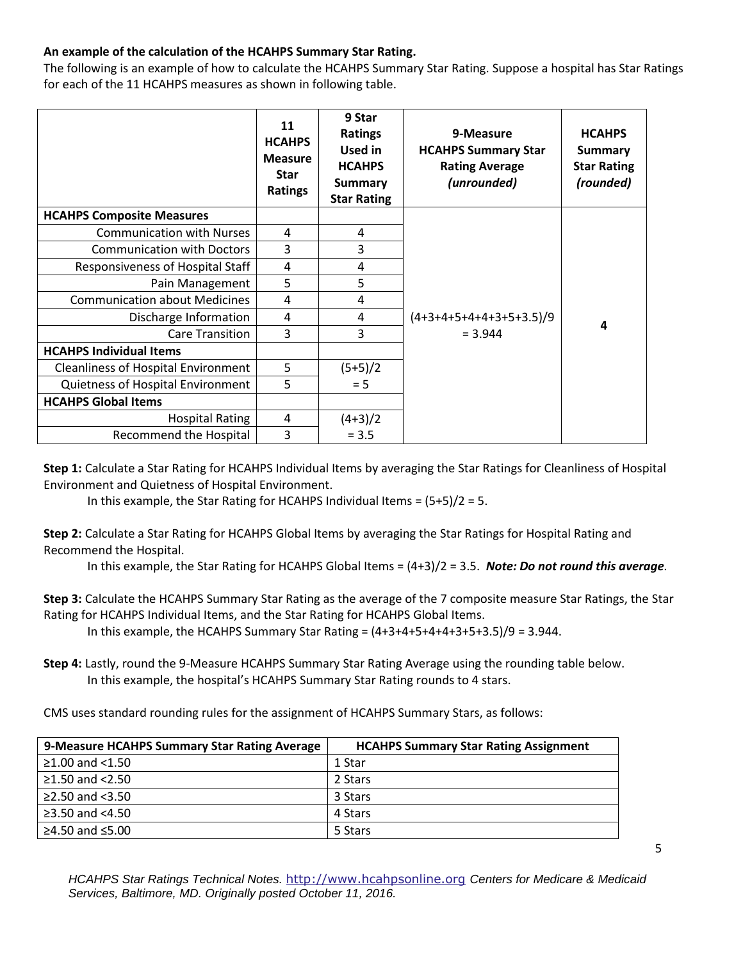## **An example of the calculation of the HCAHPS Summary Star Rating.**

The following is an example of how to calculate the HCAHPS Summary Star Rating. Suppose a hospital has Star Ratings for each of the 11 HCAHPS measures as shown in following table.

|                                            | 11<br><b>HCAHPS</b><br><b>Measure</b><br><b>Star</b><br>Ratings | 9 Star<br><b>Ratings</b><br><b>Used in</b><br><b>HCAHPS</b><br><b>Summary</b><br><b>Star Rating</b> | 9-Measure<br><b>HCAHPS Summary Star</b><br><b>Rating Average</b><br>(unrounded) | <b>HCAHPS</b><br><b>Summary</b><br><b>Star Rating</b><br>(rounded) |
|--------------------------------------------|-----------------------------------------------------------------|-----------------------------------------------------------------------------------------------------|---------------------------------------------------------------------------------|--------------------------------------------------------------------|
| <b>HCAHPS Composite Measures</b>           |                                                                 |                                                                                                     |                                                                                 |                                                                    |
| <b>Communication with Nurses</b>           | 4                                                               | 4                                                                                                   |                                                                                 |                                                                    |
| <b>Communication with Doctors</b>          | 3                                                               | 3                                                                                                   |                                                                                 |                                                                    |
| Responsiveness of Hospital Staff           | 4                                                               | 4                                                                                                   |                                                                                 |                                                                    |
| Pain Management                            | 5                                                               | 5                                                                                                   |                                                                                 |                                                                    |
| <b>Communication about Medicines</b>       | 4                                                               | 4                                                                                                   |                                                                                 |                                                                    |
| Discharge Information                      | 4                                                               | 4                                                                                                   | $(4+3+4+5+4+4+3+5+3.5)/9$                                                       | 4                                                                  |
| <b>Care Transition</b>                     | 3                                                               | 3                                                                                                   | $= 3.944$                                                                       |                                                                    |
| <b>HCAHPS Individual Items</b>             |                                                                 |                                                                                                     |                                                                                 |                                                                    |
| <b>Cleanliness of Hospital Environment</b> | 5                                                               | $(5+5)/2$                                                                                           |                                                                                 |                                                                    |
| Quietness of Hospital Environment          | 5                                                               | $= 5$                                                                                               |                                                                                 |                                                                    |
| <b>HCAHPS Global Items</b>                 |                                                                 |                                                                                                     |                                                                                 |                                                                    |
| <b>Hospital Rating</b>                     | 4                                                               | $(4+3)/2$                                                                                           |                                                                                 |                                                                    |
| Recommend the Hospital                     | 3                                                               | $= 3.5$                                                                                             |                                                                                 |                                                                    |

**Step 1:** Calculate a Star Rating for HCAHPS Individual Items by averaging the Star Ratings for Cleanliness of Hospital Environment and Quietness of Hospital Environment.

In this example, the Star Rating for HCAHPS Individual Items =  $(5+5)/2 = 5$ .

**Step 2:** Calculate a Star Rating for HCAHPS Global Items by averaging the Star Ratings for Hospital Rating and Recommend the Hospital.

In this example, the Star Rating for HCAHPS Global Items = (4+3)/2 = 3.5. *Note: Do not round this average.*

**Step 3:** Calculate the HCAHPS Summary Star Rating as the average of the 7 composite measure Star Ratings, the Star Rating for HCAHPS Individual Items, and the Star Rating for HCAHPS Global Items.

In this example, the HCAHPS Summary Star Rating =  $(4+3+4+5+4+4+3+5+3.5)/9 = 3.944$ .

**Step 4:** Lastly, round the 9-Measure HCAHPS Summary Star Rating Average using the rounding table below. In this example, the hospital's HCAHPS Summary Star Rating rounds to 4 stars.

CMS uses standard rounding rules for the assignment of HCAHPS Summary Stars, as follows:

| 9-Measure HCAHPS Summary Star Rating Average | <b>HCAHPS Summary Star Rating Assignment</b> |
|----------------------------------------------|----------------------------------------------|
| $≥1.00$ and <1.50                            | 1 Star                                       |
| ≥1.50 and $<$ 2.50                           | 2 Stars                                      |
| $\geq$ 2.50 and <3.50                        | 3 Stars                                      |
| $\geq$ 3.50 and <4.50                        | 4 Stars                                      |
| ≥4.50 and ≤5.00                              | 5 Stars                                      |

*HCAHPS Star Ratings Technical Notes.* [http://www.hcahpsonline.org](http://www.hcahpsonline.org/) *Centers for Medicare & Medicaid Services, Baltimore, MD. Originally posted October 11, 2016.*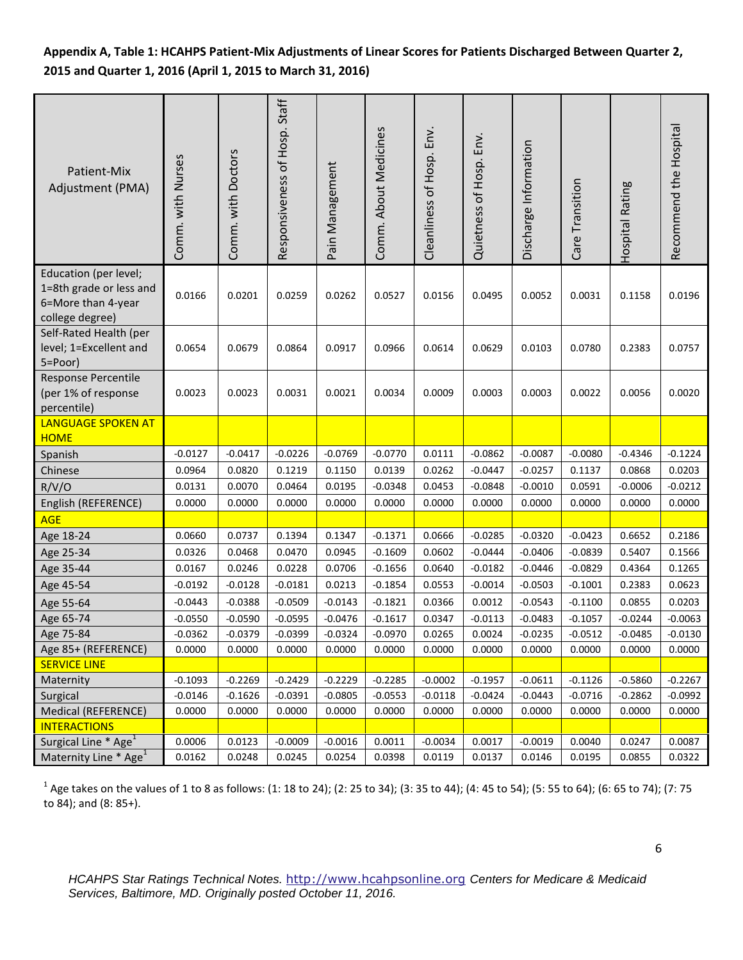## **Appendix A, Table 1: HCAHPS Patient-Mix Adjustments of Linear Scores for Patients Discharged Between Quarter 2, 2015 and Quarter 1, 2016 (April 1, 2015 to March 31, 2016)**

| Patient-Mix<br>Adjustment (PMA)                                                           | Comm. with Nurses | Comm. with Doctors | Responsiveness of Hosp. Staff | Pain Management | Comm. About Medicines | Cleanliness of Hosp. Env. | Quietness of Hosp. Env. | Discharge Information | Care Transition | Hospital Rating | Recommend the Hospital |
|-------------------------------------------------------------------------------------------|-------------------|--------------------|-------------------------------|-----------------|-----------------------|---------------------------|-------------------------|-----------------------|-----------------|-----------------|------------------------|
| Education (per level;<br>1=8th grade or less and<br>6=More than 4-year<br>college degree) | 0.0166            | 0.0201             | 0.0259                        | 0.0262          | 0.0527                | 0.0156                    | 0.0495                  | 0.0052                | 0.0031          | 0.1158          | 0.0196                 |
| Self-Rated Health (per<br>level; 1=Excellent and<br>5=Poor)                               | 0.0654            | 0.0679             | 0.0864                        | 0.0917          | 0.0966                | 0.0614                    | 0.0629                  | 0.0103                | 0.0780          | 0.2383          | 0.0757                 |
| Response Percentile<br>(per 1% of response<br>percentile)                                 | 0.0023            | 0.0023             | 0.0031                        | 0.0021          | 0.0034                | 0.0009                    | 0.0003                  | 0.0003                | 0.0022          | 0.0056          | 0.0020                 |
| <b>LANGUAGE SPOKEN AT</b><br><b>HOME</b>                                                  |                   |                    |                               |                 |                       |                           |                         |                       |                 |                 |                        |
| Spanish                                                                                   | $-0.0127$         | $-0.0417$          | $-0.0226$                     | $-0.0769$       | $-0.0770$             | 0.0111                    | $-0.0862$               | $-0.0087$             | $-0.0080$       | $-0.4346$       | $-0.1224$              |
| Chinese                                                                                   | 0.0964            | 0.0820             | 0.1219                        | 0.1150          | 0.0139                | 0.0262                    | $-0.0447$               | $-0.0257$             | 0.1137          | 0.0868          | 0.0203                 |
| R/V/O                                                                                     | 0.0131            | 0.0070             | 0.0464                        | 0.0195          | $-0.0348$             | 0.0453                    | $-0.0848$               | $-0.0010$             | 0.0591          | $-0.0006$       | $-0.0212$              |
| English (REFERENCE)                                                                       | 0.0000            | 0.0000             | 0.0000                        | 0.0000          | 0.0000                | 0.0000                    | 0.0000                  | 0.0000                | 0.0000          | 0.0000          | 0.0000                 |
| <b>AGE</b>                                                                                |                   |                    |                               |                 |                       |                           |                         |                       |                 |                 |                        |
| Age 18-24                                                                                 | 0.0660            | 0.0737             | 0.1394                        | 0.1347          | $-0.1371$             | 0.0666                    | $-0.0285$               | $-0.0320$             | $-0.0423$       | 0.6652          | 0.2186                 |
| Age 25-34                                                                                 | 0.0326            | 0.0468             | 0.0470                        | 0.0945          | $-0.1609$             | 0.0602                    | $-0.0444$               | $-0.0406$             | $-0.0839$       | 0.5407          | 0.1566                 |
| Age 35-44                                                                                 | 0.0167            | 0.0246             | 0.0228                        | 0.0706          | $-0.1656$             | 0.0640                    | $-0.0182$               | $-0.0446$             | $-0.0829$       | 0.4364          | 0.1265                 |
| Age 45-54                                                                                 | $-0.0192$         | $-0.0128$          | $-0.0181$                     | 0.0213          | $-0.1854$             | 0.0553                    | $-0.0014$               | $-0.0503$             | $-0.1001$       | 0.2383          | 0.0623                 |
| Age 55-64                                                                                 | $-0.0443$         | $-0.0388$          | $-0.0509$                     | $-0.0143$       | $-0.1821$             | 0.0366                    | 0.0012                  | $-0.0543$             | $-0.1100$       | 0.0855          | 0.0203                 |
| Age 65-74                                                                                 | $-0.0550$         | $-0.0590$          | $-0.0595$                     | $-0.0476$       | $-0.1617$             | 0.0347                    | $-0.0113$               | $-0.0483$             | $-0.1057$       | $-0.0244$       | $-0.0063$              |
| Age 75-84                                                                                 | $-0.0362$         | $-0.0379$          | $-0.0399$                     | $-0.0324$       | $-0.0970$             | 0.0265                    | 0.0024                  | $-0.0235$             | $-0.0512$       | $-0.0485$       | $-0.0130$              |
| Age 85+ (REFERENCE)                                                                       | 0.0000            | 0.0000             | 0.0000                        | 0.0000          | 0.0000                | 0.0000                    | 0.0000                  | 0.0000                | 0.0000          | 0.0000          | 0.0000                 |
| <b>SERVICE LINE</b>                                                                       |                   |                    |                               |                 |                       |                           |                         |                       |                 |                 |                        |
| Maternity                                                                                 | $-0.1093$         | $-0.2269$          | $-0.2429$                     | $-0.2229$       | $-0.2285$             | $-0.0002$                 | $-0.1957$               | $-0.0611$             | $-0.1126$       | $-0.5860$       | $-0.2267$              |
| Surgical                                                                                  | $-0.0146$         | $-0.1626$          | $-0.0391$                     | $-0.0805$       | $-0.0553$             | $-0.0118$                 | $-0.0424$               | $-0.0443$             | $-0.0716$       | $-0.2862$       | $-0.0992$              |
| Medical (REFERENCE)                                                                       | 0.0000            | 0.0000             | 0.0000                        | 0.0000          | 0.0000                | 0.0000                    | 0.0000                  | 0.0000                | 0.0000          | 0.0000          | 0.0000                 |
| <b>INTERACTIONS</b>                                                                       |                   |                    |                               |                 |                       |                           |                         |                       |                 |                 |                        |
| Surgical Line * Age <sup>1</sup>                                                          | 0.0006            | 0.0123             | $-0.0009$                     | $-0.0016$       | 0.0011                | $-0.0034$                 | 0.0017                  | $-0.0019$             | 0.0040          | 0.0247          | 0.0087                 |
| Maternity Line * Age <sup>1</sup>                                                         | 0.0162            | 0.0248             | 0.0245                        | 0.0254          | 0.0398                | 0.0119                    | 0.0137                  | 0.0146                | 0.0195          | 0.0855          | 0.0322                 |

 $^1$  Age takes on the values of 1 to 8 as follows: (1: 18 to 24); (2: 25 to 34); (3: 35 to 44); (4: 45 to 54); (5: 55 to 64); (6: 65 to 74); (7: 75 to 84); and (8: 85+).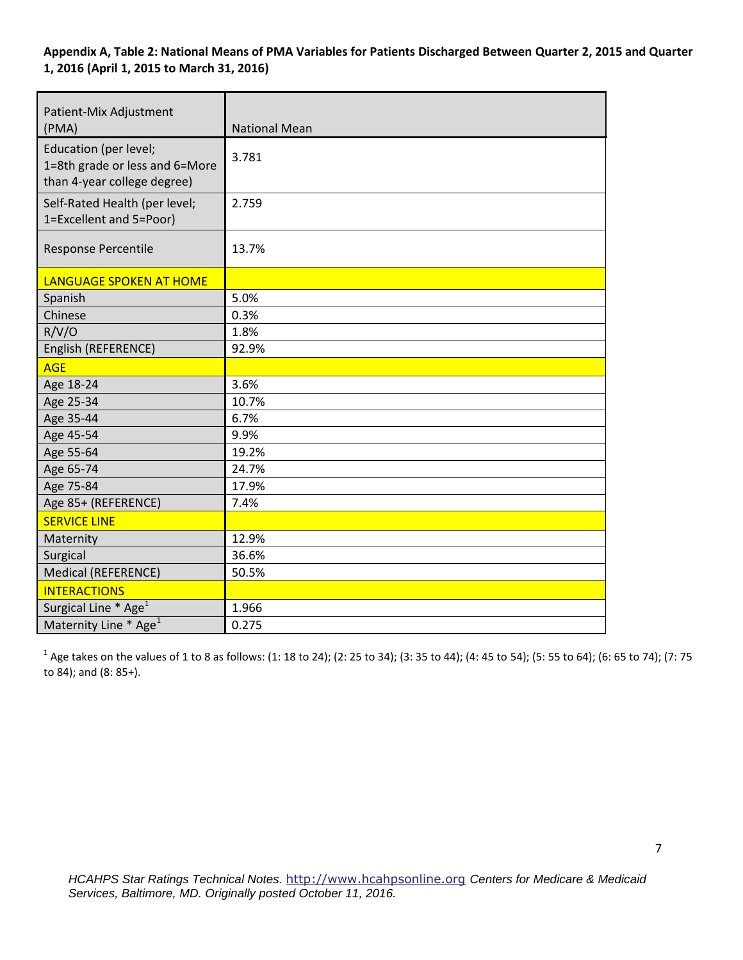### **Appendix A, Table 2: National Means of PMA Variables for Patients Discharged Between Quarter 2, 2015 and Quarter 1, 2016 (April 1, 2015 to March 31, 2016)**

| Patient-Mix Adjustment<br>(PMA)                                                        | <b>National Mean</b> |
|----------------------------------------------------------------------------------------|----------------------|
| Education (per level;<br>1=8th grade or less and 6=More<br>than 4-year college degree) | 3.781                |
| Self-Rated Health (per level;<br>1=Excellent and 5=Poor)                               | 2.759                |
| Response Percentile                                                                    | 13.7%                |
| LANGUAGE SPOKEN AT HOME                                                                |                      |
| Spanish                                                                                | 5.0%                 |
| Chinese                                                                                | 0.3%                 |
| R/V/O                                                                                  | 1.8%                 |
| English (REFERENCE)                                                                    | 92.9%                |
| <b>AGE</b>                                                                             |                      |
| Age 18-24                                                                              | 3.6%                 |
| Age 25-34                                                                              | 10.7%                |
| Age 35-44                                                                              | 6.7%                 |
| Age 45-54                                                                              | 9.9%                 |
| Age 55-64                                                                              | 19.2%                |
| Age 65-74                                                                              | 24.7%                |
| Age 75-84                                                                              | 17.9%                |
| Age 85+ (REFERENCE)                                                                    | 7.4%                 |
| <b>SERVICE LINE</b>                                                                    |                      |
| Maternity                                                                              | 12.9%                |
| Surgical                                                                               | 36.6%                |
| <b>Medical (REFERENCE)</b>                                                             | 50.5%                |
| <b>INTERACTIONS</b>                                                                    |                      |
| Surgical Line * Age <sup>1</sup>                                                       | 1.966                |
| Maternity Line * Age <sup>1</sup>                                                      | 0.275                |

 $^1$  Age takes on the values of 1 to 8 as follows: (1: 18 to 24); (2: 25 to 34); (3: 35 to 44); (4: 45 to 54); (5: 55 to 64); (6: 65 to 74); (7: 75 to 84); and (8: 85+).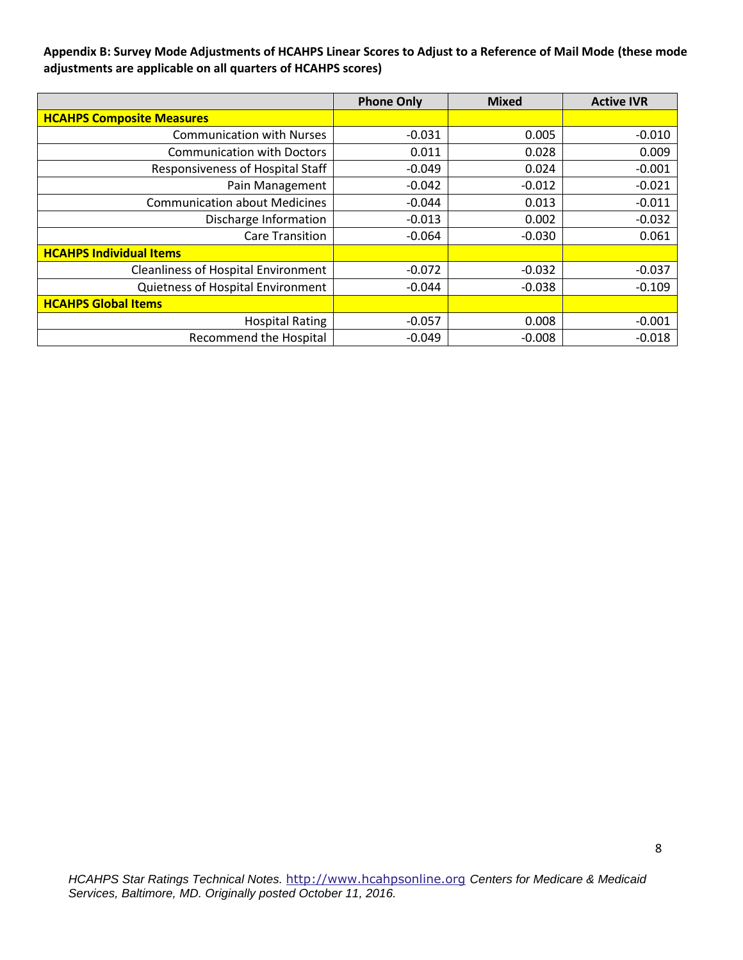**Appendix B: Survey Mode Adjustments of HCAHPS Linear Scores to Adjust to a Reference of Mail Mode (these mode adjustments are applicable on all quarters of HCAHPS scores)** 

|                                            | <b>Phone Only</b> | <b>Mixed</b> | <b>Active IVR</b> |
|--------------------------------------------|-------------------|--------------|-------------------|
| <b>HCAHPS Composite Measures</b>           |                   |              |                   |
| <b>Communication with Nurses</b>           | $-0.031$          | 0.005        | $-0.010$          |
| <b>Communication with Doctors</b>          | 0.011             | 0.028        | 0.009             |
| Responsiveness of Hospital Staff           | $-0.049$          | 0.024        | $-0.001$          |
| Pain Management                            | $-0.042$          | $-0.012$     | $-0.021$          |
| <b>Communication about Medicines</b>       | $-0.044$          | 0.013        | $-0.011$          |
| Discharge Information                      | $-0.013$          | 0.002        | $-0.032$          |
| <b>Care Transition</b>                     | -0.064            | $-0.030$     | 0.061             |
| <b>HCAHPS Individual Items</b>             |                   |              |                   |
| <b>Cleanliness of Hospital Environment</b> | $-0.072$          | $-0.032$     | $-0.037$          |
| Quietness of Hospital Environment          | $-0.044$          | $-0.038$     | $-0.109$          |
| <b>HCAHPS Global Items</b>                 |                   |              |                   |
| <b>Hospital Rating</b>                     | $-0.057$          | 0.008        | $-0.001$          |
| <b>Recommend the Hospital</b>              | $-0.049$          | $-0.008$     | $-0.018$          |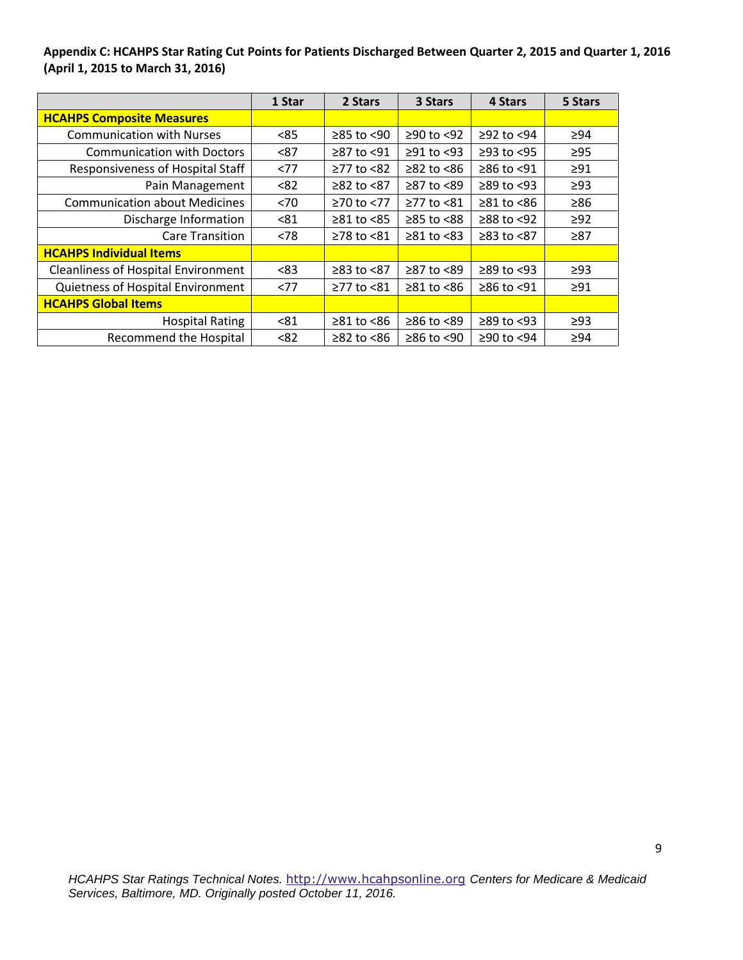**Appendix C: HCAHPS Star Rating Cut Points for Patients Discharged Between Quarter 2, 2015 and Quarter 1, 2016 (April 1, 2015 to March 31, 2016)** 

|                                            | 1 Star | 2 Stars                | 3 Stars          | 4 Stars          | 5 Stars   |
|--------------------------------------------|--------|------------------------|------------------|------------------|-----------|
| <b>HCAHPS Composite Measures</b>           |        |                        |                  |                  |           |
| <b>Communication with Nurses</b>           | < 85   | $≥85$ to <90           | ≥90 to <92       | $≥92$ to $<94$   | $\geq 94$ |
| <b>Communication with Doctors</b>          | < 87   | ≥87 to <91             | $\geq$ 91 to <93 | $\geq$ 93 to <95 | $\geq$ 95 |
| Responsiveness of Hospital Staff           | <77    | ≥77 to <82             | $\geq$ 82 to <86 | ≥86 to <91       | $\geq 91$ |
| Pain Management                            | < 82   | $≥82$ to $≤87$         | ≥87 to <89       | $\geq$ 89 to <93 | $\geq$ 93 |
| <b>Communication about Medicines</b>       | < 70   | ≥70 to <77             | ≥77 to <81       | $\geq 81$ to <86 | $\geq 86$ |
| Discharge Information                      | < 81   | $\geq 81$ to <85       | $≥85$ to $<88$   | $≥88$ to <92     | $\geq$ 92 |
| <b>Care Transition</b>                     | < 78   | ≥78 to <81             | $\geq 81$ to <83 | ≥83 to <87       | $\geq 87$ |
| <b>HCAHPS Individual Items</b>             |        |                        |                  |                  |           |
| <b>Cleanliness of Hospital Environment</b> | < 83   | ≥83 to <87             | ≥87 to <89       | $\geq$ 89 to <93 | $\geq$ 93 |
| Quietness of Hospital Environment          | <77    | ≥77 to <81             | $\geq 81$ to <86 | ≥86 to <91       | $\geq 91$ |
| <b>HCAHPS Global Items</b>                 |        |                        |                  |                  |           |
| <b>Hospital Rating</b>                     | < 81   | $\geq 81$ to $\leq 86$ | $≥86$ to <89     | $\geq$ 89 to <93 | $\geq$ 93 |
| <b>Recommend the Hospital</b>              | < 82   | $\geq$ 82 to <86       | $≥86$ to <90     | ≥90 to <94       | $\geq 94$ |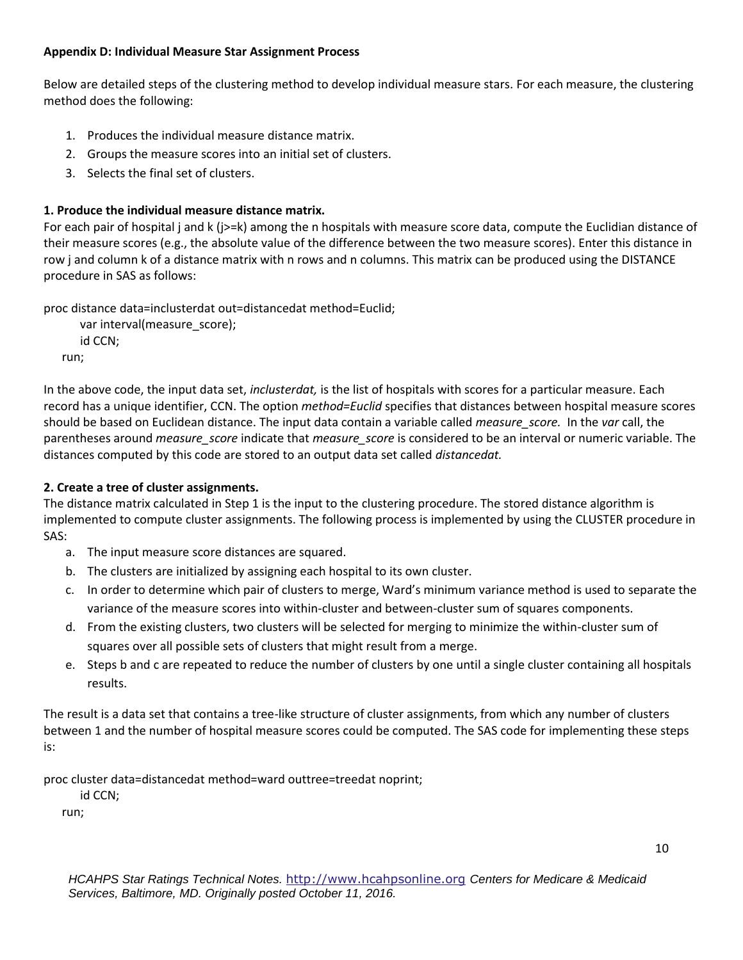## **Appendix D: Individual Measure Star Assignment Process**

Below are detailed steps of the clustering method to develop individual measure stars. For each measure, the clustering method does the following:

- 1. Produces the individual measure distance matrix.
- 2. Groups the measure scores into an initial set of clusters.
- 3. Selects the final set of clusters.

## **1. Produce the individual measure distance matrix.**

For each pair of hospital j and k (j>=k) among the n hospitals with measure score data, compute the Euclidian distance of their measure scores (e.g., the absolute value of the difference between the two measure scores). Enter this distance in row j and column k of a distance matrix with n rows and n columns. This matrix can be produced using the DISTANCE procedure in SAS as follows:

proc distance data=inclusterdat out=distancedat method=Euclid;

```
var interval(measure_score);
    id CCN;
run;
```
In the above code, the input data set, *inclusterdat,* is the list of hospitals with scores for a particular measure. Each record has a unique identifier, CCN. The option *method=Euclid* specifies that distances between hospital measure scores should be based on Euclidean distance. The input data contain a variable called *measure\_score.* In the *var* call, the parentheses around *measure\_score* indicate that *measure\_score* is considered to be an interval or numeric variable. The distances computed by this code are stored to an output data set called *distancedat.* 

## **2. Create a tree of cluster assignments.**

The distance matrix calculated in Step 1 is the input to the clustering procedure. The stored distance algorithm is implemented to compute cluster assignments. The following process is implemented by using the CLUSTER procedure in SAS:

- a. The input measure score distances are squared.
- b. The clusters are initialized by assigning each hospital to its own cluster.
- c. In order to determine which pair of clusters to merge, Ward's minimum variance method is used to separate the variance of the measure scores into within-cluster and between-cluster sum of squares components.
- d. From the existing clusters, two clusters will be selected for merging to minimize the within-cluster sum of squares over all possible sets of clusters that might result from a merge.
- e. Steps b and c are repeated to reduce the number of clusters by one until a single cluster containing all hospitals results.

The result is a data set that contains a tree-like structure of cluster assignments, from which any number of clusters between 1 and the number of hospital measure scores could be computed. The SAS code for implementing these steps is:

proc cluster data=distancedat method=ward outtree=treedat noprint;

id CCN;

run;